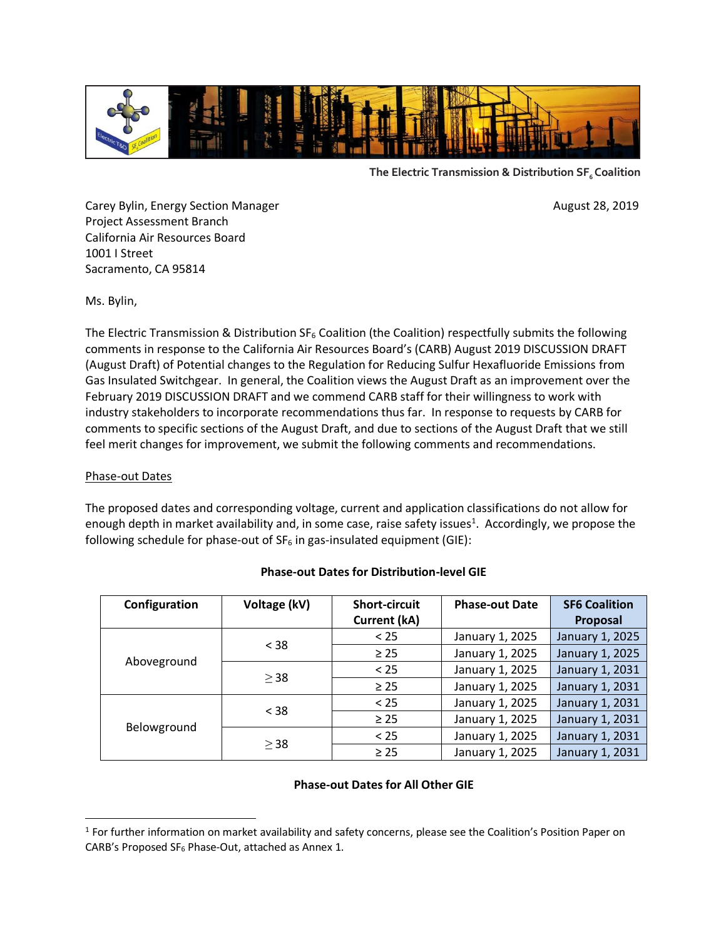

**The Electric Transmission & Distribution SF6 Coalition**

Carey Bylin, Energy Section Manager **August 28, 2019** August 28, 2019 Project Assessment Branch California Air Resources Board 1001 I Street Sacramento, CA 95814

Ms. Bylin,

The Electric Transmission & Distribution  $SF_6$  Coalition (the Coalition) respectfully submits the following comments in response to the California Air Resources Board's (CARB) August 2019 DISCUSSION DRAFT (August Draft) of Potential changes to the Regulation for Reducing Sulfur Hexafluoride Emissions from Gas Insulated Switchgear. In general, the Coalition views the August Draft as an improvement over the February 2019 DISCUSSION DRAFT and we commend CARB staff for their willingness to work with industry stakeholders to incorporate recommendations thus far. In response to requests by CARB for comments to specific sections of the August Draft, and due to sections of the August Draft that we still feel merit changes for improvement, we submit the following comments and recommendations.

## Phase-out Dates

 $\overline{\phantom{a}}$ 

The proposed dates and corresponding voltage, current and application classifications do not allow for enough depth in market availability and, in some case, raise safety issues<sup>1</sup>. Accordingly, we propose the following schedule for phase-out of  $SF_6$  in gas-insulated equipment (GIE):

| Configuration | Voltage (kV) | <b>Short-circuit</b> | <b>Phase-out Date</b> | <b>SF6 Coalition</b> |
|---------------|--------------|----------------------|-----------------------|----------------------|
|               |              | <b>Current (kA)</b>  |                       | Proposal             |
| Aboveground   | $<$ 38       | < 25                 | January 1, 2025       | January 1, 2025      |
|               |              | $\geq$ 25            | January 1, 2025       | January 1, 2025      |
|               | $\geq$ 38    | < 25                 | January 1, 2025       | January 1, 2031      |
|               |              | $\geq$ 25            | January 1, 2025       | January 1, 2031      |
| Belowground   | $<$ 38       | < 25                 | January 1, 2025       | January 1, 2031      |
|               |              | $\geq$ 25            | January 1, 2025       | January 1, 2031      |
|               | $\geq$ 38    | < 25                 | January 1, 2025       | January 1, 2031      |
|               |              | $\geq$ 25            | January 1, 2025       | January 1, 2031      |

#### **Phase-out Dates for Distribution-level GIE**

### **Phase-out Dates for All Other GIE**

<sup>&</sup>lt;sup>1</sup> For further information on market availability and safety concerns, please see the Coalition's Position Paper on CARB's Proposed SF<sup>6</sup> Phase-Out, attached as Annex 1.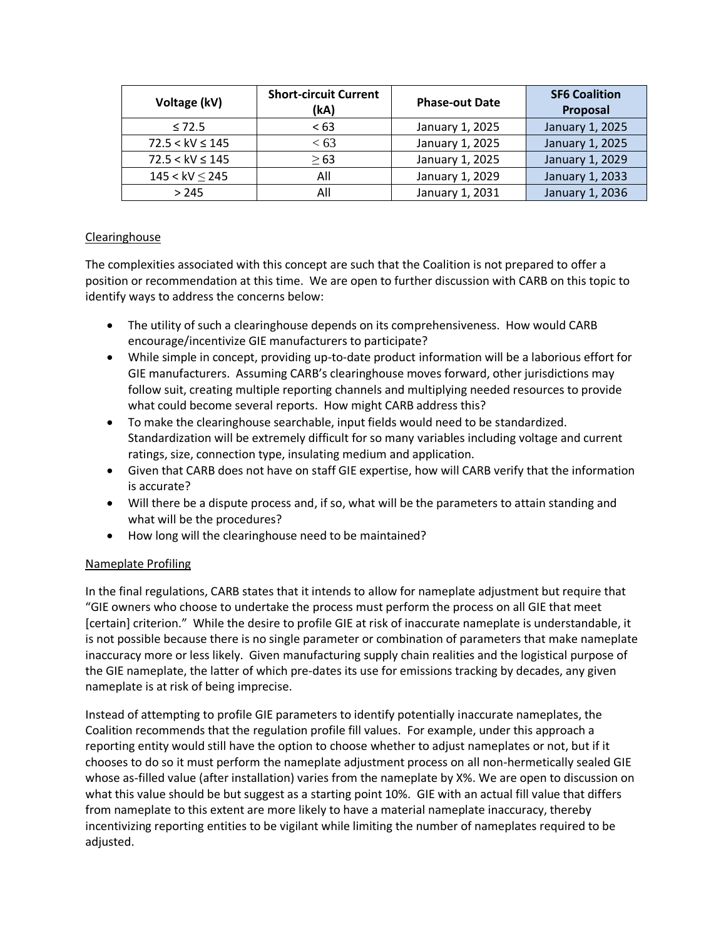| Voltage (kV)        | <b>Short-circuit Current</b><br>(kA) | <b>Phase-out Date</b> | <b>SF6 Coalition</b><br>Proposal |
|---------------------|--------------------------------------|-----------------------|----------------------------------|
| < 72.5              | <63                                  | January 1, 2025       | January 1, 2025                  |
| $72.5 < kV \le 145$ | < 63                                 | January 1, 2025       | January 1, 2025                  |
| $72.5 < kV \le 145$ | >63                                  | January 1, 2025       | January 1, 2029                  |
| $145 < kV \le 245$  | All                                  | January 1, 2029       | January 1, 2033                  |
| >245                | All                                  | January 1, 2031       | January 1, 2036                  |

## Clearinghouse

The complexities associated with this concept are such that the Coalition is not prepared to offer a position or recommendation at this time. We are open to further discussion with CARB on this topic to identify ways to address the concerns below:

- The utility of such a clearinghouse depends on its comprehensiveness. How would CARB encourage/incentivize GIE manufacturers to participate?
- While simple in concept, providing up-to-date product information will be a laborious effort for GIE manufacturers. Assuming CARB's clearinghouse moves forward, other jurisdictions may follow suit, creating multiple reporting channels and multiplying needed resources to provide what could become several reports. How might CARB address this?
- To make the clearinghouse searchable, input fields would need to be standardized. Standardization will be extremely difficult for so many variables including voltage and current ratings, size, connection type, insulating medium and application.
- Given that CARB does not have on staff GIE expertise, how will CARB verify that the information is accurate?
- Will there be a dispute process and, if so, what will be the parameters to attain standing and what will be the procedures?
- How long will the clearinghouse need to be maintained?

## Nameplate Profiling

In the final regulations, CARB states that it intends to allow for nameplate adjustment but require that "GIE owners who choose to undertake the process must perform the process on all GIE that meet [certain] criterion." While the desire to profile GIE at risk of inaccurate nameplate is understandable, it is not possible because there is no single parameter or combination of parameters that make nameplate inaccuracy more or less likely. Given manufacturing supply chain realities and the logistical purpose of the GIE nameplate, the latter of which pre-dates its use for emissions tracking by decades, any given nameplate is at risk of being imprecise.

Instead of attempting to profile GIE parameters to identify potentially inaccurate nameplates, the Coalition recommends that the regulation profile fill values. For example, under this approach a reporting entity would still have the option to choose whether to adjust nameplates or not, but if it chooses to do so it must perform the nameplate adjustment process on all non-hermetically sealed GIE whose as-filled value (after installation) varies from the nameplate by X%. We are open to discussion on what this value should be but suggest as a starting point 10%. GIE with an actual fill value that differs from nameplate to this extent are more likely to have a material nameplate inaccuracy, thereby incentivizing reporting entities to be vigilant while limiting the number of nameplates required to be adjusted.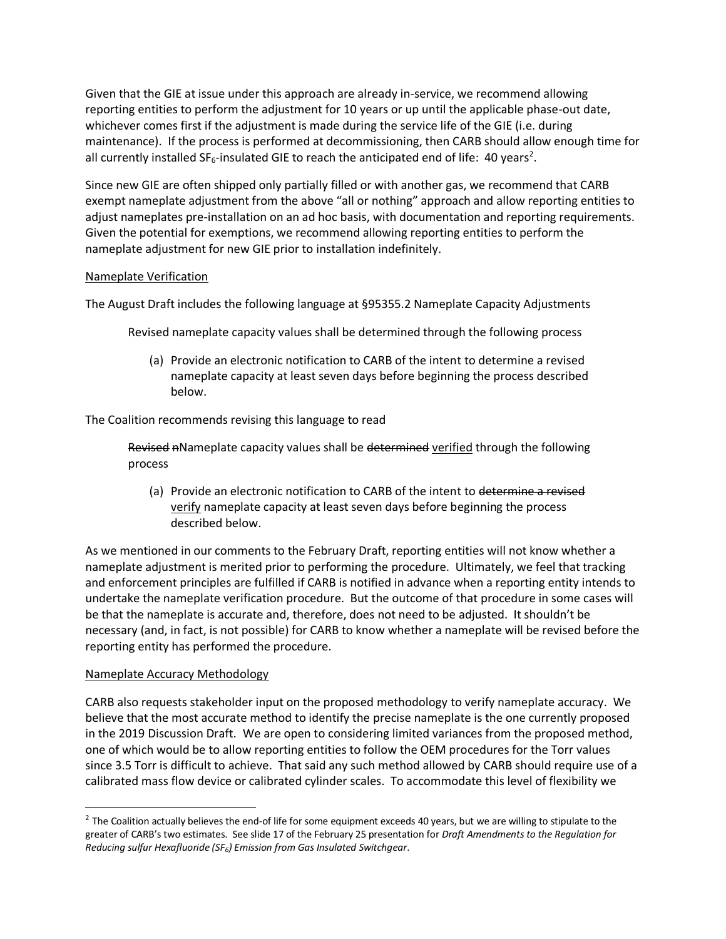Given that the GIE at issue under this approach are already in-service, we recommend allowing reporting entities to perform the adjustment for 10 years or up until the applicable phase-out date, whichever comes first if the adjustment is made during the service life of the GIE (i.e. during maintenance). If the process is performed at decommissioning, then CARB should allow enough time for all currently installed SF<sub>6</sub>-insulated GIE to reach the anticipated end of life: 40 years<sup>2</sup>.

Since new GIE are often shipped only partially filled or with another gas, we recommend that CARB exempt nameplate adjustment from the above "all or nothing" approach and allow reporting entities to adjust nameplates pre-installation on an ad hoc basis, with documentation and reporting requirements. Given the potential for exemptions, we recommend allowing reporting entities to perform the nameplate adjustment for new GIE prior to installation indefinitely.

## Nameplate Verification

The August Draft includes the following language at §95355.2 Nameplate Capacity Adjustments

Revised nameplate capacity values shall be determined through the following process

(a) Provide an electronic notification to CARB of the intent to determine a revised nameplate capacity at least seven days before beginning the process described below.

The Coalition recommends revising this language to read

Revised nNameplate capacity values shall be determined verified through the following process

(a) Provide an electronic notification to CARB of the intent to determine a revised verify nameplate capacity at least seven days before beginning the process described below.

As we mentioned in our comments to the February Draft, reporting entities will not know whether a nameplate adjustment is merited prior to performing the procedure. Ultimately, we feel that tracking and enforcement principles are fulfilled if CARB is notified in advance when a reporting entity intends to undertake the nameplate verification procedure. But the outcome of that procedure in some cases will be that the nameplate is accurate and, therefore, does not need to be adjusted. It shouldn't be necessary (and, in fact, is not possible) for CARB to know whether a nameplate will be revised before the reporting entity has performed the procedure.

## Nameplate Accuracy Methodology

 $\overline{a}$ 

CARB also requests stakeholder input on the proposed methodology to verify nameplate accuracy. We believe that the most accurate method to identify the precise nameplate is the one currently proposed in the 2019 Discussion Draft. We are open to considering limited variances from the proposed method, one of which would be to allow reporting entities to follow the OEM procedures for the Torr values since 3.5 Torr is difficult to achieve. That said any such method allowed by CARB should require use of a calibrated mass flow device or calibrated cylinder scales. To accommodate this level of flexibility we

 $^2$  The Coalition actually believes the end-of life for some equipment exceeds 40 years, but we are willing to stipulate to the greater of CARB's two estimates. See slide 17 of the February 25 presentation for *Draft Amendments to the Regulation for Reducing sulfur Hexafluoride (SF6) Emission from Gas Insulated Switchgear*.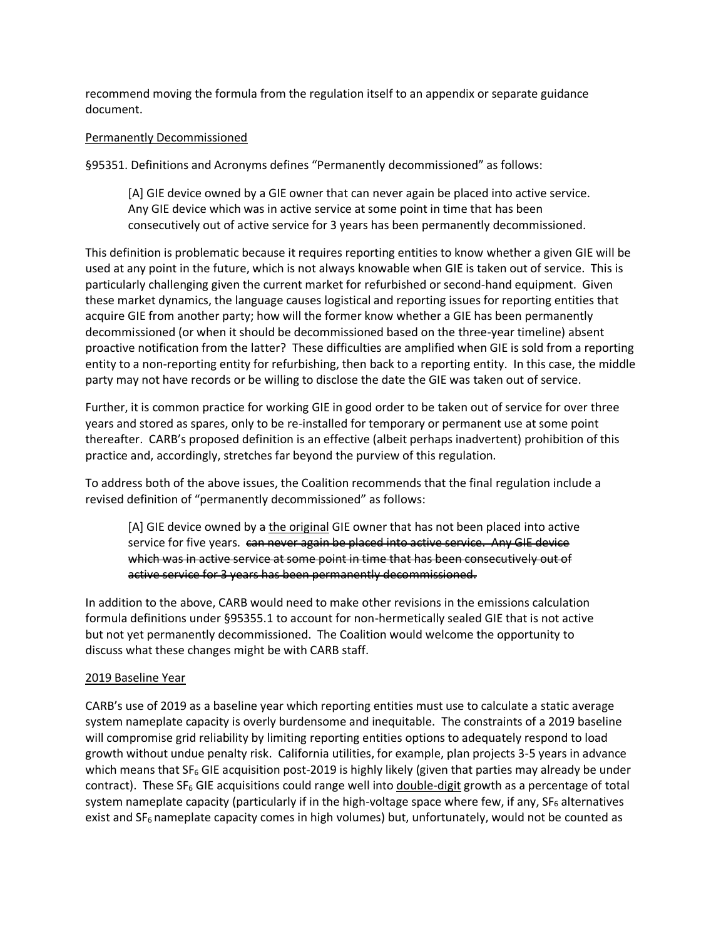recommend moving the formula from the regulation itself to an appendix or separate guidance document.

### Permanently Decommissioned

§95351. Definitions and Acronyms defines "Permanently decommissioned" as follows:

[A] GIE device owned by a GIE owner that can never again be placed into active service. Any GIE device which was in active service at some point in time that has been consecutively out of active service for 3 years has been permanently decommissioned.

This definition is problematic because it requires reporting entities to know whether a given GIE will be used at any point in the future, which is not always knowable when GIE is taken out of service. This is particularly challenging given the current market for refurbished or second-hand equipment. Given these market dynamics, the language causes logistical and reporting issues for reporting entities that acquire GIE from another party; how will the former know whether a GIE has been permanently decommissioned (or when it should be decommissioned based on the three-year timeline) absent proactive notification from the latter? These difficulties are amplified when GIE is sold from a reporting entity to a non-reporting entity for refurbishing, then back to a reporting entity. In this case, the middle party may not have records or be willing to disclose the date the GIE was taken out of service.

Further, it is common practice for working GIE in good order to be taken out of service for over three years and stored as spares, only to be re-installed for temporary or permanent use at some point thereafter. CARB's proposed definition is an effective (albeit perhaps inadvertent) prohibition of this practice and, accordingly, stretches far beyond the purview of this regulation.

To address both of the above issues, the Coalition recommends that the final regulation include a revised definition of "permanently decommissioned" as follows:

[A] GIE device owned by a the original GIE owner that has not been placed into active service for five years. can never again be placed into active service. Any GIE device which was in active service at some point in time that has been consecutively out of active service for 3 years has been permanently decommissioned.

In addition to the above, CARB would need to make other revisions in the emissions calculation formula definitions under §95355.1 to account for non-hermetically sealed GIE that is not active but not yet permanently decommissioned. The Coalition would welcome the opportunity to discuss what these changes might be with CARB staff.

## 2019 Baseline Year

CARB's use of 2019 as a baseline year which reporting entities must use to calculate a static average system nameplate capacity is overly burdensome and inequitable. The constraints of a 2019 baseline will compromise grid reliability by limiting reporting entities options to adequately respond to load growth without undue penalty risk. California utilities, for example, plan projects 3-5 years in advance which means that  $SF_6$  GIE acquisition post-2019 is highly likely (given that parties may already be under contract). These  $SF_6$  GIE acquisitions could range well into double-digit growth as a percentage of total system nameplate capacity (particularly if in the high-voltage space where few, if any,  $SF<sub>6</sub>$  alternatives exist and  $SF_6$  nameplate capacity comes in high volumes) but, unfortunately, would not be counted as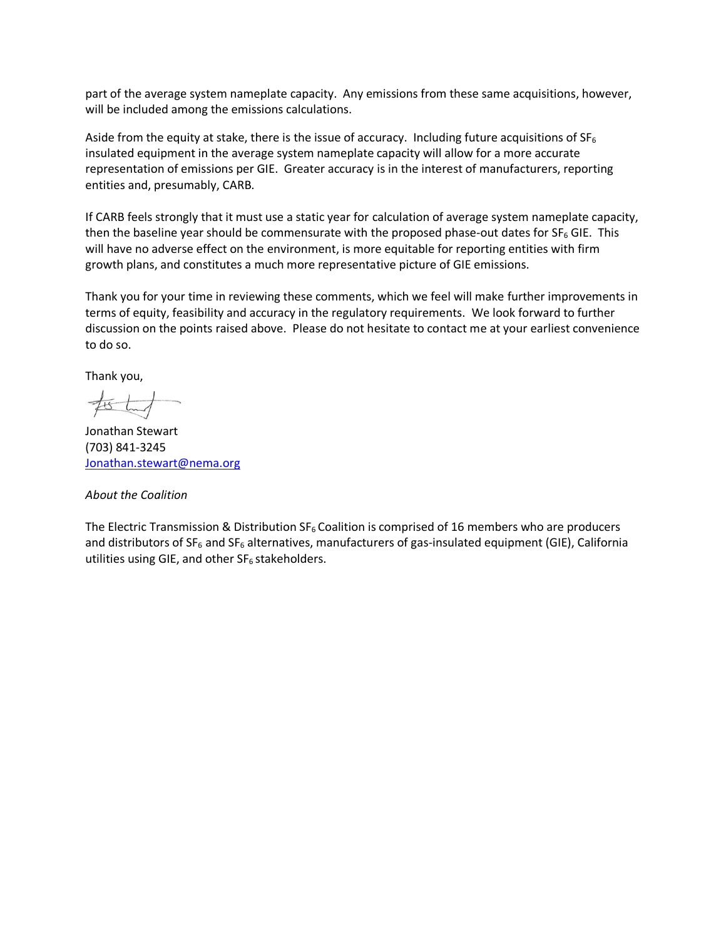part of the average system nameplate capacity. Any emissions from these same acquisitions, however, will be included among the emissions calculations.

Aside from the equity at stake, there is the issue of accuracy. Including future acquisitions of  $SF_6$ insulated equipment in the average system nameplate capacity will allow for a more accurate representation of emissions per GIE. Greater accuracy is in the interest of manufacturers, reporting entities and, presumably, CARB.

If CARB feels strongly that it must use a static year for calculation of average system nameplate capacity, then the baseline year should be commensurate with the proposed phase-out dates for  $SF_6$  GIE. This will have no adverse effect on the environment, is more equitable for reporting entities with firm growth plans, and constitutes a much more representative picture of GIE emissions.

Thank you for your time in reviewing these comments, which we feel will make further improvements in terms of equity, feasibility and accuracy in the regulatory requirements. We look forward to further discussion on the points raised above. Please do not hesitate to contact me at your earliest convenience to do so.

Thank you,

Jonathan Stewart (703) 841-3245 [Jonathan.stewart@nema.org](mailto:Jonathan.stewart@nema.org)

#### *About the Coalition*

The Electric Transmission & Distribution  $SF_6$  Coalition is comprised of 16 members who are producers and distributors of  $SF_6$  and  $SF_6$  alternatives, manufacturers of gas-insulated equipment (GIE), California utilities using GIE, and other  $SF<sub>6</sub>$  stakeholders.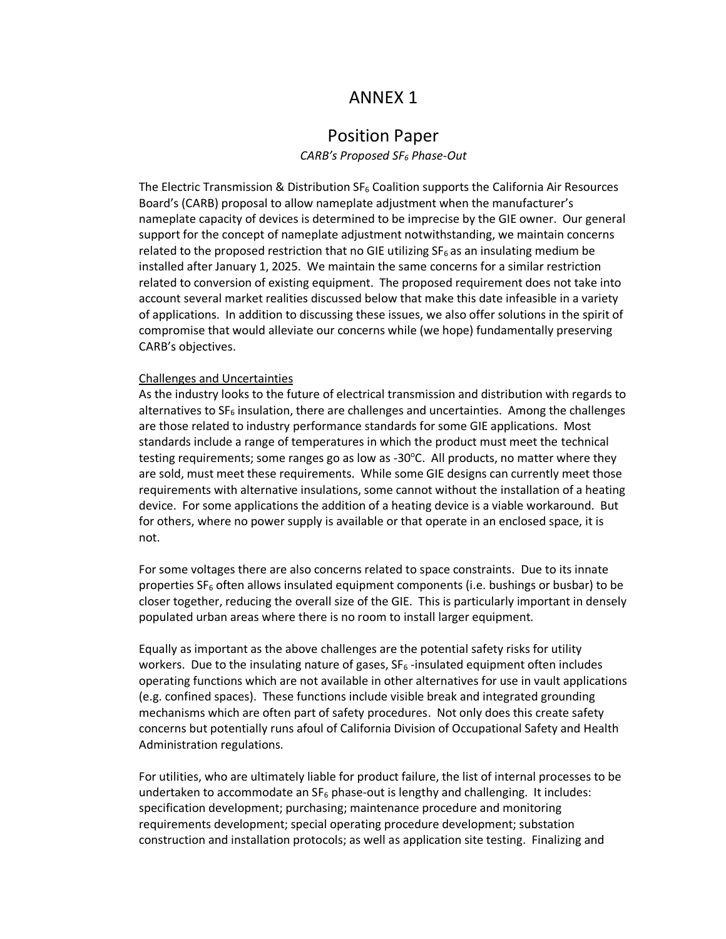# ANNEX 1

## Position Paper

*CARB's Proposed SF<sup>6</sup> Phase-Out*

The Electric Transmission & Distribution  $SF<sub>6</sub>$  Coalition supports the California Air Resources Board's (CARB) proposal to allow nameplate adjustment when the manufacturer's nameplate capacity of devices is determined to be imprecise by the GIE owner. Our general support for the concept of nameplate adjustment notwithstanding, we maintain concerns related to the proposed restriction that no GIE utilizing  $SF_6$  as an insulating medium be installed after January 1, 2025. We maintain the same concerns for a similar restriction related to conversion of existing equipment. The proposed requirement does not take into account several market realities discussed below that make this date infeasible in a variety of applications. In addition to discussing these issues, we also offer solutions in the spirit of compromise that would alleviate our concerns while (we hope) fundamentally preserving CARB's objectives.

#### Challenges and Uncertainties

As the industry looks to the future of electrical transmission and distribution with regards to alternatives to  $SF_6$  insulation, there are challenges and uncertainties. Among the challenges are those related to industry performance standards for some GIE applications. Most standards include a range of temperatures in which the product must meet the technical testing requirements; some ranges go as low as -30 $\degree$ C. All products, no matter where they are sold, must meet these requirements. While some GIE designs can currently meet those requirements with alternative insulations, some cannot without the installation of a heating device. For some applications the addition of a heating device is a viable workaround. But for others, where no power supply is available or that operate in an enclosed space, it is not.

For some voltages there are also concerns related to space constraints. Due to its innate properties SF<sub>6</sub> often allows insulated equipment components (i.e. bushings or busbar) to be closer together, reducing the overall size of the GIE. This is particularly important in densely populated urban areas where there is no room to install larger equipment.

Equally as important as the above challenges are the potential safety risks for utility workers. Due to the insulating nature of gases,  $SF_6$ -insulated equipment often includes operating functions which are not available in other alternatives for use in vault applications (e.g. confined spaces). These functions include visible break and integrated grounding mechanisms which are often part of safety procedures. Not only does this create safety concerns but potentially runs afoul of California Division of Occupational Safety and Health Administration regulations.

For utilities, who are ultimately liable for product failure, the list of internal processes to be undertaken to accommodate an  $SF_6$  phase-out is lengthy and challenging. It includes: specification development; purchasing; maintenance procedure and monitoring requirements development; special operating procedure development; substation construction and installation protocols; as well as application site testing. Finalizing and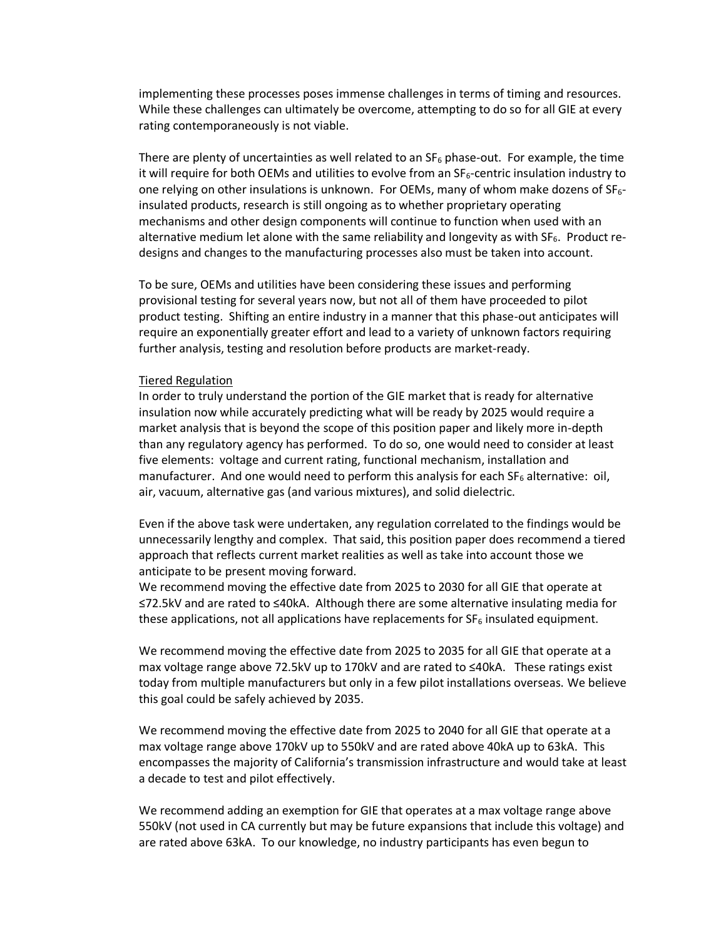implementing these processes poses immense challenges in terms of timing and resources. While these challenges can ultimately be overcome, attempting to do so for all GIE at every rating contemporaneously is not viable.

There are plenty of uncertainties as well related to an  $SF_6$  phase-out. For example, the time it will require for both OEMs and utilities to evolve from an  $SF_6$ -centric insulation industry to one relying on other insulations is unknown. For OEMs, many of whom make dozens of  $SF<sub>6</sub>$ insulated products, research is still ongoing as to whether proprietary operating mechanisms and other design components will continue to function when used with an alternative medium let alone with the same reliability and longevity as with SF<sub>6</sub>. Product redesigns and changes to the manufacturing processes also must be taken into account.

To be sure, OEMs and utilities have been considering these issues and performing provisional testing for several years now, but not all of them have proceeded to pilot product testing. Shifting an entire industry in a manner that this phase-out anticipates will require an exponentially greater effort and lead to a variety of unknown factors requiring further analysis, testing and resolution before products are market-ready.

#### Tiered Regulation

In order to truly understand the portion of the GIE market that is ready for alternative insulation now while accurately predicting what will be ready by 2025 would require a market analysis that is beyond the scope of this position paper and likely more in-depth than any regulatory agency has performed. To do so, one would need to consider at least five elements: voltage and current rating, functional mechanism, installation and manufacturer. And one would need to perform this analysis for each  $SF_6$  alternative: oil, air, vacuum, alternative gas (and various mixtures), and solid dielectric.

Even if the above task were undertaken, any regulation correlated to the findings would be unnecessarily lengthy and complex. That said, this position paper does recommend a tiered approach that reflects current market realities as well as take into account those we anticipate to be present moving forward.

We recommend moving the effective date from 2025 to 2030 for all GIE that operate at ≤72.5kV and are rated to ≤40kA. Although there are some alternative insulating media for these applications, not all applications have replacements for  $SF<sub>6</sub>$  insulated equipment.

We recommend moving the effective date from 2025 to 2035 for all GIE that operate at a max voltage range above 72.5kV up to 170kV and are rated to ≤40kA. These ratings exist today from multiple manufacturers but only in a few pilot installations overseas. We believe this goal could be safely achieved by 2035.

We recommend moving the effective date from 2025 to 2040 for all GIE that operate at a max voltage range above 170kV up to 550kV and are rated above 40kA up to 63kA. This encompasses the majority of California's transmission infrastructure and would take at least a decade to test and pilot effectively.

We recommend adding an exemption for GIE that operates at a max voltage range above 550kV (not used in CA currently but may be future expansions that include this voltage) and are rated above 63kA. To our knowledge, no industry participants has even begun to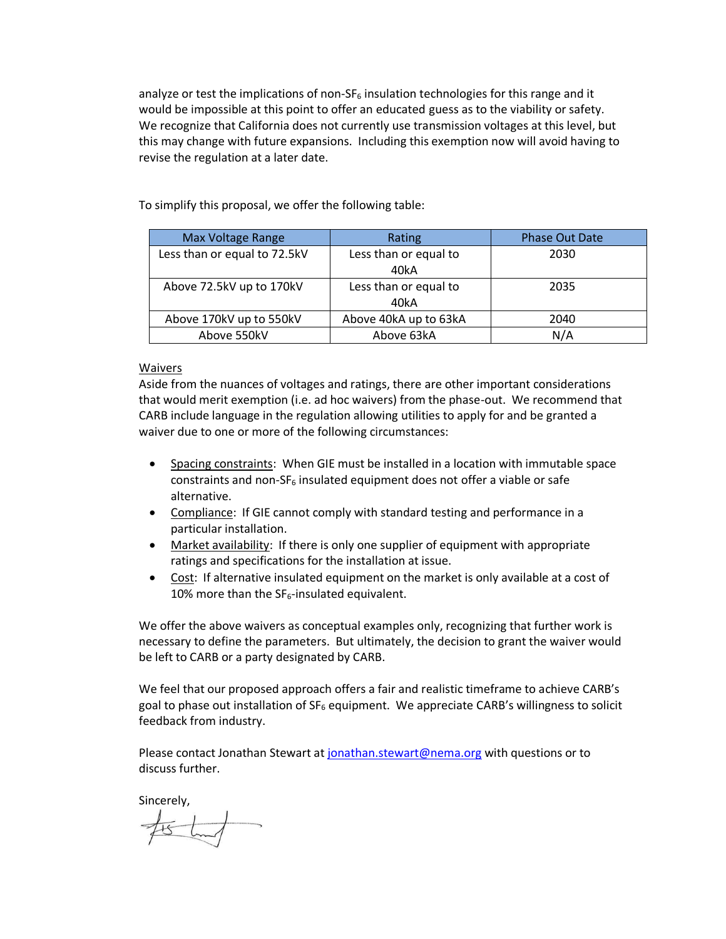analyze or test the implications of non- $SF<sub>6</sub>$  insulation technologies for this range and it would be impossible at this point to offer an educated guess as to the viability or safety. We recognize that California does not currently use transmission voltages at this level, but this may change with future expansions. Including this exemption now will avoid having to revise the regulation at a later date.

To simplify this proposal, we offer the following table:

| Max Voltage Range            | Rating                        | <b>Phase Out Date</b> |
|------------------------------|-------------------------------|-----------------------|
| Less than or equal to 72.5kV | Less than or equal to<br>40kA | 2030                  |
| Above 72.5kV up to 170kV     | Less than or equal to<br>40kA | 2035                  |
| Above 170kV up to 550kV      | Above 40kA up to 63kA         | 2040                  |
| Above 550kV                  | Above 63kA                    | N/A                   |

### Waivers

Aside from the nuances of voltages and ratings, there are other important considerations that would merit exemption (i.e. ad hoc waivers) from the phase-out. We recommend that CARB include language in the regulation allowing utilities to apply for and be granted a waiver due to one or more of the following circumstances:

- Spacing constraints: When GIE must be installed in a location with immutable space constraints and non- $SF_6$  insulated equipment does not offer a viable or safe alternative.
- Compliance: If GIE cannot comply with standard testing and performance in a particular installation.
- Market availability: If there is only one supplier of equipment with appropriate ratings and specifications for the installation at issue.
- Cost: If alternative insulated equipment on the market is only available at a cost of 10% more than the  $SF_6$ -insulated equivalent.

We offer the above waivers as conceptual examples only, recognizing that further work is necessary to define the parameters. But ultimately, the decision to grant the waiver would be left to CARB or a party designated by CARB.

We feel that our proposed approach offers a fair and realistic timeframe to achieve CARB's goal to phase out installation of  $SF<sub>6</sub>$  equipment. We appreciate CARB's willingness to solicit feedback from industry.

Please contact Jonathan Stewart at [jonathan.stewart@nema.org](mailto:jonathan.stewart@nema.org) with questions or to discuss further.

Sincerely,